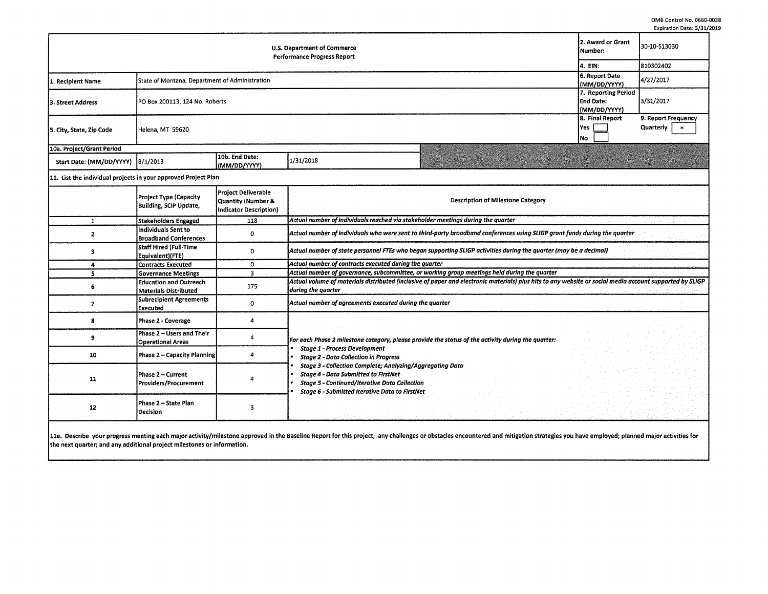0MB Control No. 0660-0038 Expiration Date: 5/31/2019

| 2. Award or Grant<br>U.S. Department of Commerce<br>Number:<br><b>Performance Progress Report</b><br>14. EIN: |                                                |                                |           |  |                                                         | 30-10-513030                                              |
|---------------------------------------------------------------------------------------------------------------|------------------------------------------------|--------------------------------|-----------|--|---------------------------------------------------------|-----------------------------------------------------------|
|                                                                                                               |                                                |                                |           |  |                                                         | 810302402                                                 |
| 1. Recipient Name                                                                                             | State of Montana, Department of Administration |                                |           |  | 6. Report Date<br>(MM/DD/YYYY)                          | 4/27/2017                                                 |
| 3. Street Address                                                                                             | PO Box 200113, 124 No. Roberts                 |                                |           |  | 7. Reporting Period<br><b>End Date:</b><br>(MM/DD/YYYY) | 3/31/2017                                                 |
| 5. City, State, Zip Code                                                                                      | Helena, MT 59620                               |                                |           |  | 8. Final Report<br>lYes<br>INo.                         | 9. Report Frequency<br>Quarterly<br>$\boldsymbol{\times}$ |
| 10a. Project/Grant Period                                                                                     |                                                |                                |           |  |                                                         |                                                           |
| Start Date: (MM/DD/YYYY) 8/1/2013                                                                             |                                                | 10b. End Date:<br>(MM/DD/YYYY) | 1/31/2018 |  |                                                         |                                                           |
| 11. List the individual projects in your approved Project Plan                                                |                                                |                                |           |  |                                                         |                                                           |
|                                                                                                               |                                                |                                |           |  |                                                         |                                                           |

|    | <b>Project Type (Capacity</b><br>Building, SCIP Update, | <b>Project Deliverable</b><br>Quantity (Number &<br>Indicator Description) | Description of Milestone Category                                                                                                                                                                                  |  |  |  |  |  |  |
|----|---------------------------------------------------------|----------------------------------------------------------------------------|--------------------------------------------------------------------------------------------------------------------------------------------------------------------------------------------------------------------|--|--|--|--|--|--|
|    | Stakeholders Engaged                                    | 118                                                                        | Actual number of individuals reached via stakeholder meetings during the quarter                                                                                                                                   |  |  |  |  |  |  |
|    | Individuals Sent to<br><b>Broadband Conferences</b>     | o                                                                          | Actual number of individuals who were sent to third-party broadband conferences using SLIGP grant funds during the quarter                                                                                         |  |  |  |  |  |  |
|    | Staff Hired (Full-Time<br>Equivalent)(FTE)              | Ω                                                                          | Actual number of state personnel FTEs who began supporting SLIGP activities during the quarter (may be a decimal)                                                                                                  |  |  |  |  |  |  |
|    | <b>Contracts Executed</b>                               | 0                                                                          | Actual number of contracts executed during the quarter                                                                                                                                                             |  |  |  |  |  |  |
|    | <b>Governance Meetings</b>                              | ٩                                                                          | Actual number of governance, subcommittee, or working group meetings held during the quarter                                                                                                                       |  |  |  |  |  |  |
|    | <b>Education and Outreach</b><br>Materials Distributed  | 175                                                                        | Actual volume of materials distributed (inclusive of paper and electronic materials) plus hits to any website or social media account supported by SLIGP<br>during the quarter                                     |  |  |  |  |  |  |
|    | <b>Subrecipient Agreements</b><br><b>Executed</b>       | o                                                                          | Actual number of agreements executed during the quarter                                                                                                                                                            |  |  |  |  |  |  |
|    | Phase 2 - Coverage                                      |                                                                            |                                                                                                                                                                                                                    |  |  |  |  |  |  |
|    | Phase 2 - Users and Their<br><b>Operational Areas</b>   |                                                                            | For each Phase 2 milestone category, please provide the status of the activity during the quarter:                                                                                                                 |  |  |  |  |  |  |
| 10 | Phase 2 - Capacity Planning                             |                                                                            | <b>Stage 1 - Process Development</b><br><b>Stage 2 - Data Collection in Progress</b>                                                                                                                               |  |  |  |  |  |  |
| 11 | Phase 2 - Current<br>Providers/Procurement              |                                                                            | Stage 3 - Collection Complete; Analyzing/Aggregating Data<br><b>Stage 4 - Data Submitted to FirstNet</b><br><b>Stage 5 - Continued/Iterative Data Collection</b><br>Stage 6 - Submitted Iterative Data to FirstNet |  |  |  |  |  |  |
| 12 | Phase 2 - State Plan<br>Decision                        |                                                                            |                                                                                                                                                                                                                    |  |  |  |  |  |  |
|    |                                                         |                                                                            |                                                                                                                                                                                                                    |  |  |  |  |  |  |

11a. Describe your progress meeting each major activity/milestone approved in the Baseline Report for this project; any challenges or obstacles encountered and mitigation strategies you have employed; planned major activit the next quarter; and any additional project milestones or information.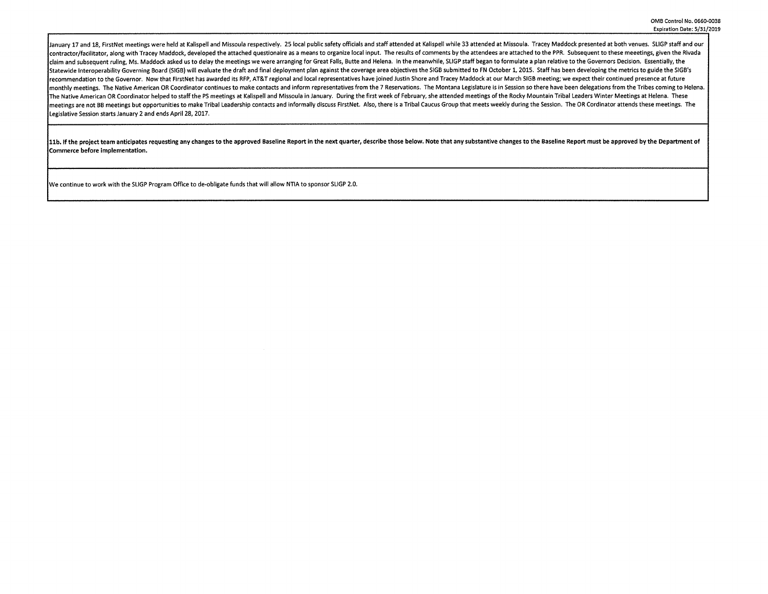January 17 and 18, FirstNet meetings were held at Kalispell and Missoula respectively. 25 local public safety officials and staff attended at Kalispell while 33 attended at Missoula. Tracey Maddock presented at both venues contractor/facilitator, along with Tracey Maddock, developed the attached questionaire as a means to organize local input. The results of comments by the attendees are attached to the PPR. Subsequent to these meeetings, gi claim and subsequent ruling, Ms. Maddock asked us to delay the meetings we were arranging for Great Falls, Butte and Helena. In the meanwhile, SLIGP staff began to formulate a plan relative to the Governors Decision. Essen l<br>Istatewide Interoperability Governing Board (SIGB) will evaluate the draft and final deployment plan against the coverage area objectives the SIGB submitted to FN October 1, 2015. Staff has been developing the metrics to recommendation to the Governor. Now that FirstNet has awarded its RFP, AT&T regional and local representatives have joined Justin Shore and Tracey Maddock at our March SIGB meeting; we expect their continued presence at fu monthly meetings. The Native American OR Coordinator continues to make contacts and inform representatives from the 7 Reservations. The Montana Legislature is in Session so there have been delegations from the Tribes comin The Native American OR Coordinator helped to staff the PS meetings at Kalispell and Missoula in January. During the first week of February, she attended meetings of the Rocky Mountain Tribal Leaders Winter Meetings at Hele meetings are not BB meetings but opportunities to make Tribal Leadership contacts and informally discuss FirstNet. Also, there is a Tribal Caucus Group that meets weekly during the Session. The OR Cordinator attends these Legislative Session starts January 2 and ends April 28, 2017.

11b. If the project team anticipates requesting any changes to the approved Baseline Report in the next quarter, describe those below. Note that any substantive changes to the Baseline Report must be approved by the Depart Commerce before Implementation.

We continue to work with the SLIGP Program Office to de-obligate funds that will allow NTIA to sponsor SLIGP 2.0.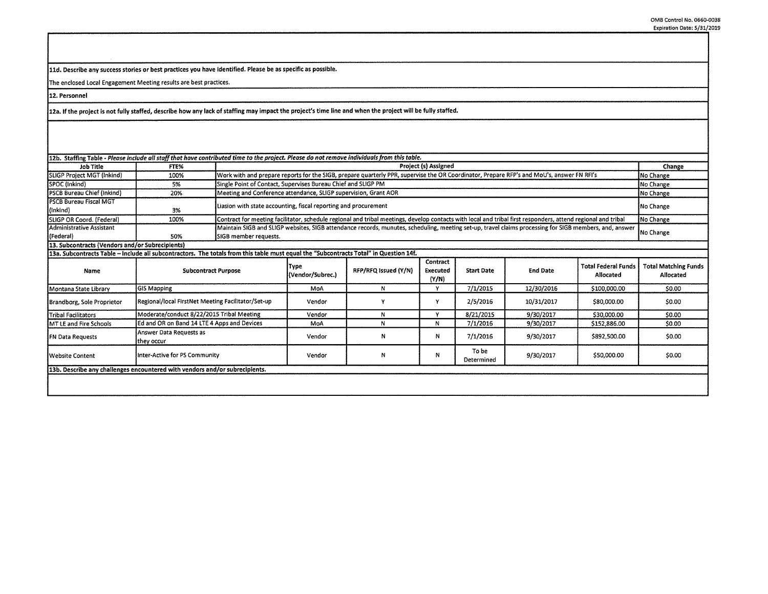\$0.00 \$0.00 \$0.00 \$0.00 \$0.00

11d. Describe any success stories or best practices you have identified. Please be as specific as possible.

The enclosed Local Engagement Meeting results are best practices.

FN Data Requests Answer Data Requests as<br>they occur

**13b. Describe any challenges encountered with vendors and/or subreclpients.** 

12. Personnel

12a. If the project is not fully staffed, describe how any lack of staffing may impact the project's time line and when the project will be fully staffed.

| 112b. Staffing Table - Please include all staff that have contributed time to the project. Please do not remove individuals from this table. |                                                    |                                                                                                                                                                                 |                                                                                                                                                        |                      |                               |                   |                 |                                         |                                          |
|----------------------------------------------------------------------------------------------------------------------------------------------|----------------------------------------------------|---------------------------------------------------------------------------------------------------------------------------------------------------------------------------------|--------------------------------------------------------------------------------------------------------------------------------------------------------|----------------------|-------------------------------|-------------------|-----------------|-----------------------------------------|------------------------------------------|
| Job Title                                                                                                                                    | <b>FTE%</b>                                        | Project (s) Assigned                                                                                                                                                            |                                                                                                                                                        |                      |                               |                   |                 |                                         | Change                                   |
| <b>SLIGP Project MGT (Inkind)</b>                                                                                                            | 100%                                               |                                                                                                                                                                                 | Work with and prepare reports for the SIGB, prepare quarterly PPR, supervise the OR Coordinator, Prepare RFP's and MoU's, answer FN RFI's<br>No Change |                      |                               |                   |                 |                                         |                                          |
| SPOC (Inkind)                                                                                                                                | 5%                                                 |                                                                                                                                                                                 | Single Point of Contact, Supervises Bureau Chief and SLIGP PM<br>No Change                                                                             |                      |                               |                   |                 |                                         |                                          |
| PSCB Bureau Chief (Inkind)                                                                                                                   | 20%                                                |                                                                                                                                                                                 | Meeting and Conference attendance, SLIGP supervision, Grant AOR<br>No Change                                                                           |                      |                               |                   |                 |                                         |                                          |
| <b>PSCB Bureau Fiscal MGT</b><br>$\{$ llnkind $\}$                                                                                           | 3%                                                 |                                                                                                                                                                                 | Liasion with state accounting, fiscal reporting and procurement<br>No Change                                                                           |                      |                               |                   |                 |                                         |                                          |
| <b>SLIGP OR Coord. (Federal)</b>                                                                                                             | 100%                                               | Contract for meeting facilitator, schedule regional and tribal meetings, develop contacts with local and tribal first responders, attend regional and tribal                    |                                                                                                                                                        |                      |                               |                   |                 |                                         | No Change                                |
| lAdministrative Assistant<br>(Federal)                                                                                                       | 50%                                                | Maintain SIGB and SLIGP websites, SIGB attendance records, munutes, scheduling, meeting set-up, travel claims processing for SIGB members, and, answer<br>SIGB member requests. |                                                                                                                                                        |                      |                               |                   |                 |                                         | No Change                                |
| 13. Subcontracts (Vendors and/or Subrecipients)                                                                                              |                                                    |                                                                                                                                                                                 |                                                                                                                                                        |                      |                               |                   |                 |                                         |                                          |
| 13a. Subcontracts Table - Include all subcontractors. The totals from this table must equal the "Subcontracts Total" in Question 14f.        |                                                    |                                                                                                                                                                                 |                                                                                                                                                        |                      |                               |                   |                 |                                         |                                          |
| Name                                                                                                                                         |                                                    | <b>Subcontract Purpose</b>                                                                                                                                                      | Type<br>(Vendor/Subrec.)                                                                                                                               | RFP/RFQ Issued (Y/N) | Contract<br>Executed<br>(Y/N) | <b>Start Date</b> | <b>End Date</b> | <b>Total Federal Funds</b><br>Allocated | <b>Total Matching Funds</b><br>Allocated |
| Montana State Library                                                                                                                        | <b>GIS Mapping</b>                                 |                                                                                                                                                                                 |                                                                                                                                                        | N                    |                               | 7/1/2015          | 12/30/2016      | \$100,000.00                            | \$0.00                                   |
| Brandborg, Sole Proprietor                                                                                                                   | Regional/local FirstNet Meeting Facilitator/Set-up |                                                                                                                                                                                 | Vendor                                                                                                                                                 |                      |                               | 2/5/2016          | 10/31/2017      | \$80,000.00                             | \$0.00                                   |

they occur and neglectic and **N N N** 7/1/2016 9/30/2017 | \$892,500.00<br>they occur

Tribal Facilitators Moderate/conduct 8/22/2015 Tribal Meeting Vendor N Y 8/21/2015 9/30/2017 \$30,000.00<br>MT LE and Fire Schools Ed and OR on Band 14 LTE 4 Apps and Devices MoA N N 7/1/2016 9/30/2017 \$152,886.00 MT LE and Fire Schools Ed and OR on Band 14 LTE 4 Apps and Devices MoA N N 7/1/2016 9/30/2017 \$152,886.00

Website Content **Inter-Active for PS Community** (Neglection Content Public Content Public Content Active for PS Community (Neglection Public Public Public Public Public Public Public Public Public Public Public Public Publ